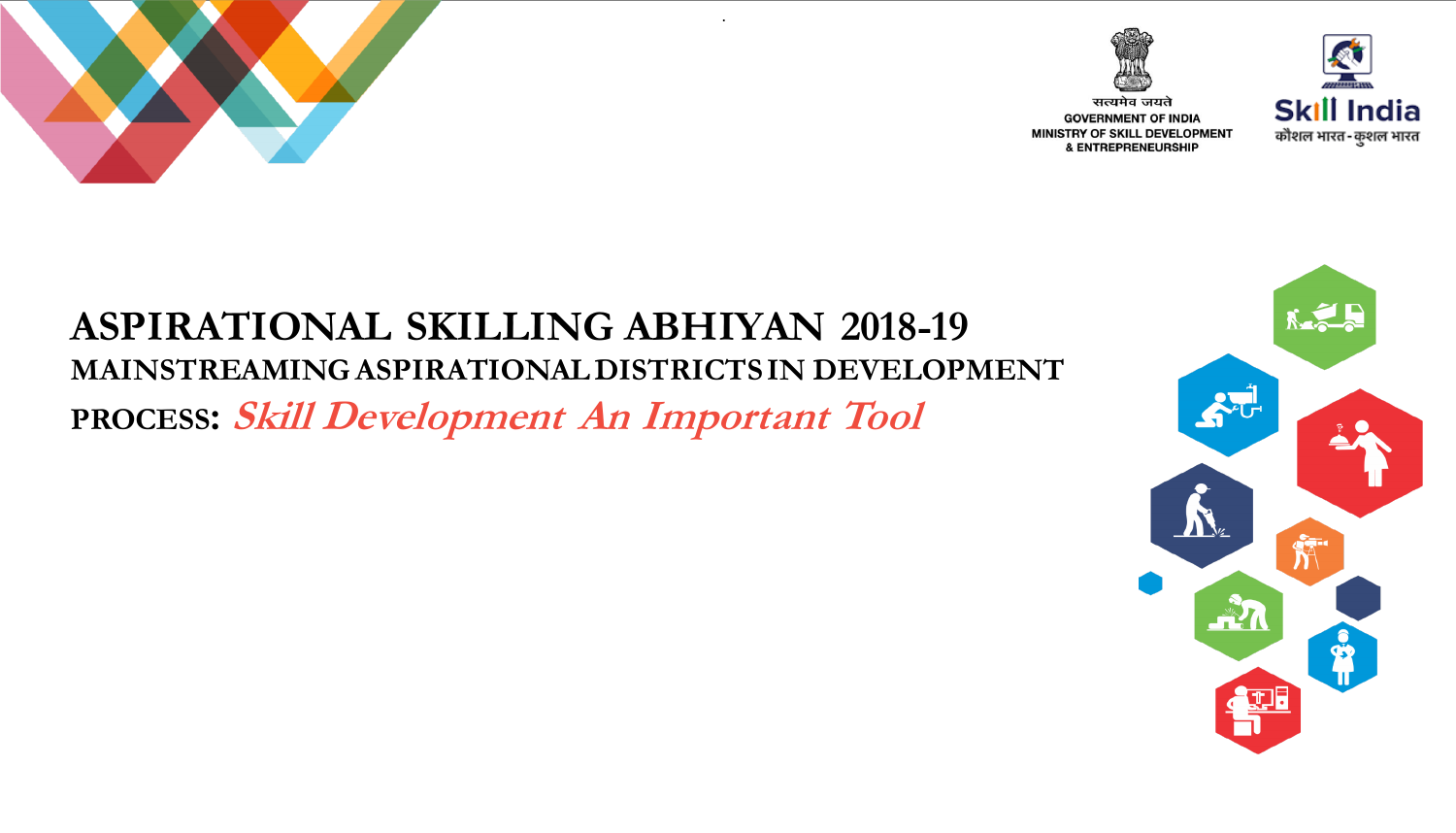



**GOVERNMENT OF INDIA** MINISTRY OF SKILL DEVELOPMENT

**& ENTREPRENEURSHIP** 



## **ASPIRATIONAL SKILLING ABHIYAN 2018-19 MAINSTREAMING ASPIRATIONAL DISTRICTS IN DEVELOPMENT PROCESS: Skill Development An Important Tool**

.

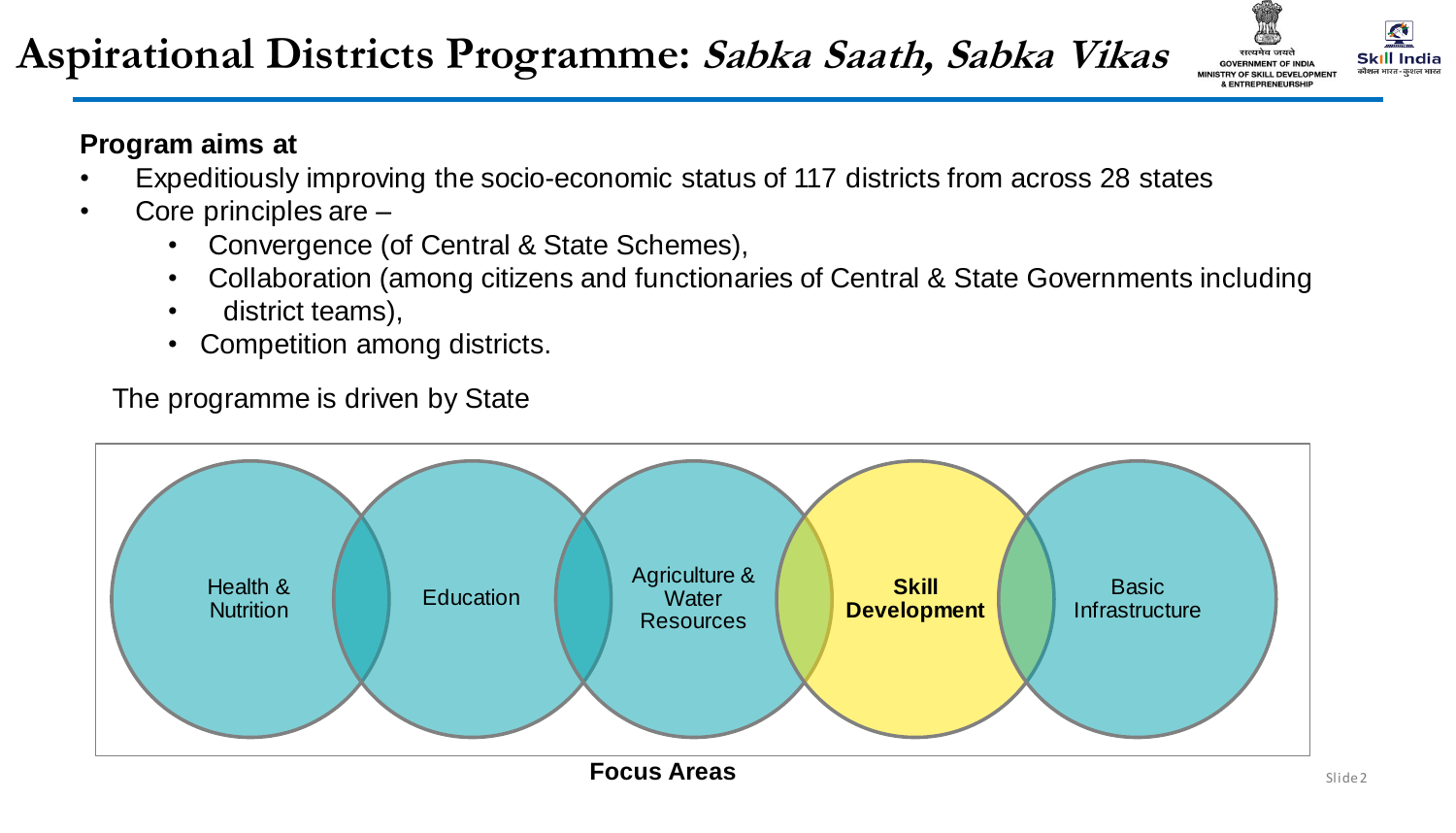## **Aspirational Districts Programme: Sabka Saath, Sabka Vikas**



#### **Program aims at**

- Expeditiously improving the socio-economic status of 117 districts from across 28 states
- Core principles are
	- Convergence (of Central & State Schemes),
	- Collaboration (among citizens and functionaries of Central & State Governments including
	- district teams),
	- Competition among districts.

The programme is driven by State

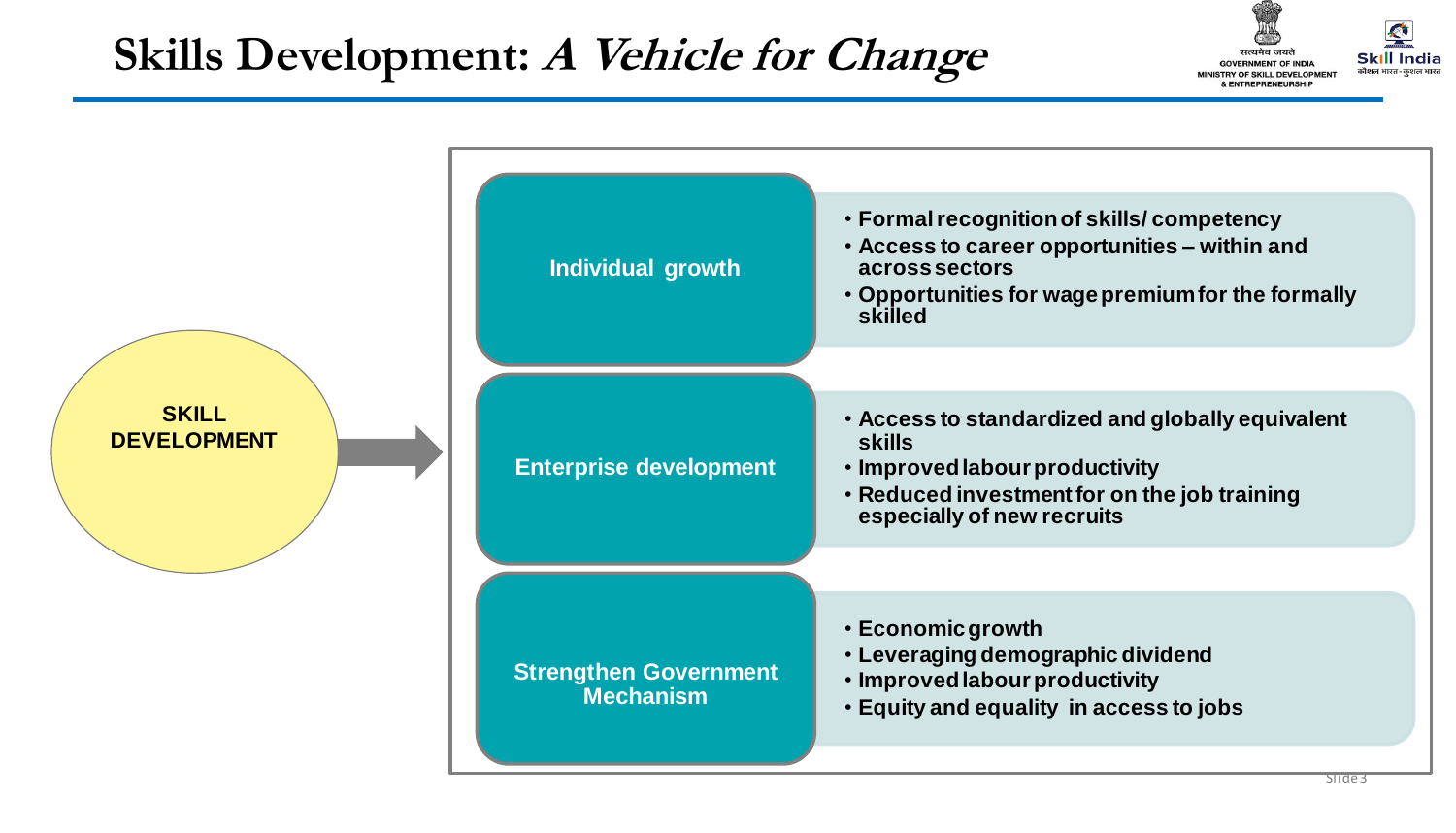## **Skills Development: A Vehicle for Change**



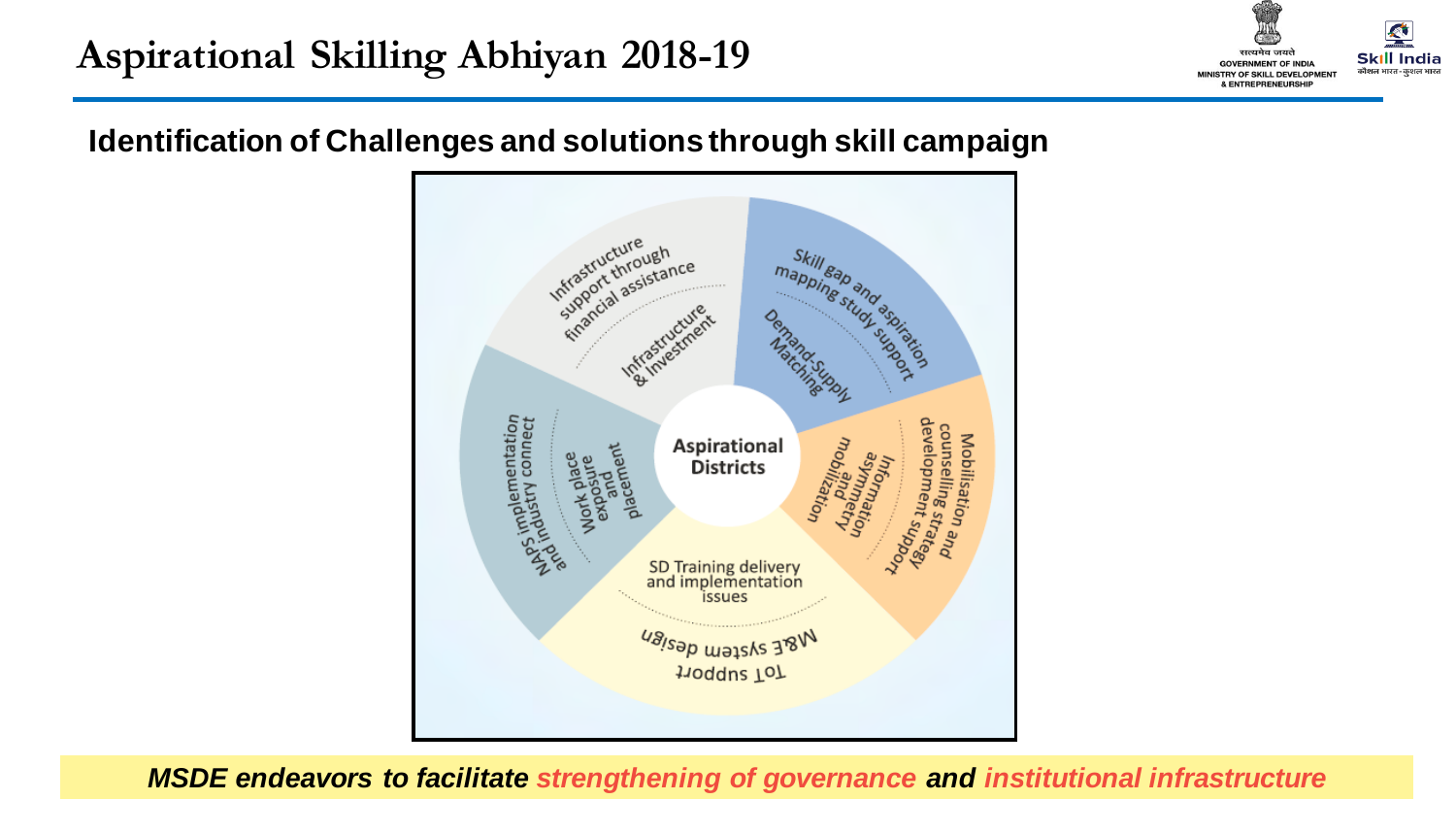

#### **Identification of Challenges and solutions through skill campaign**



**MSDE endeavors to facilitate** strengthening of governance and institutional infrastructure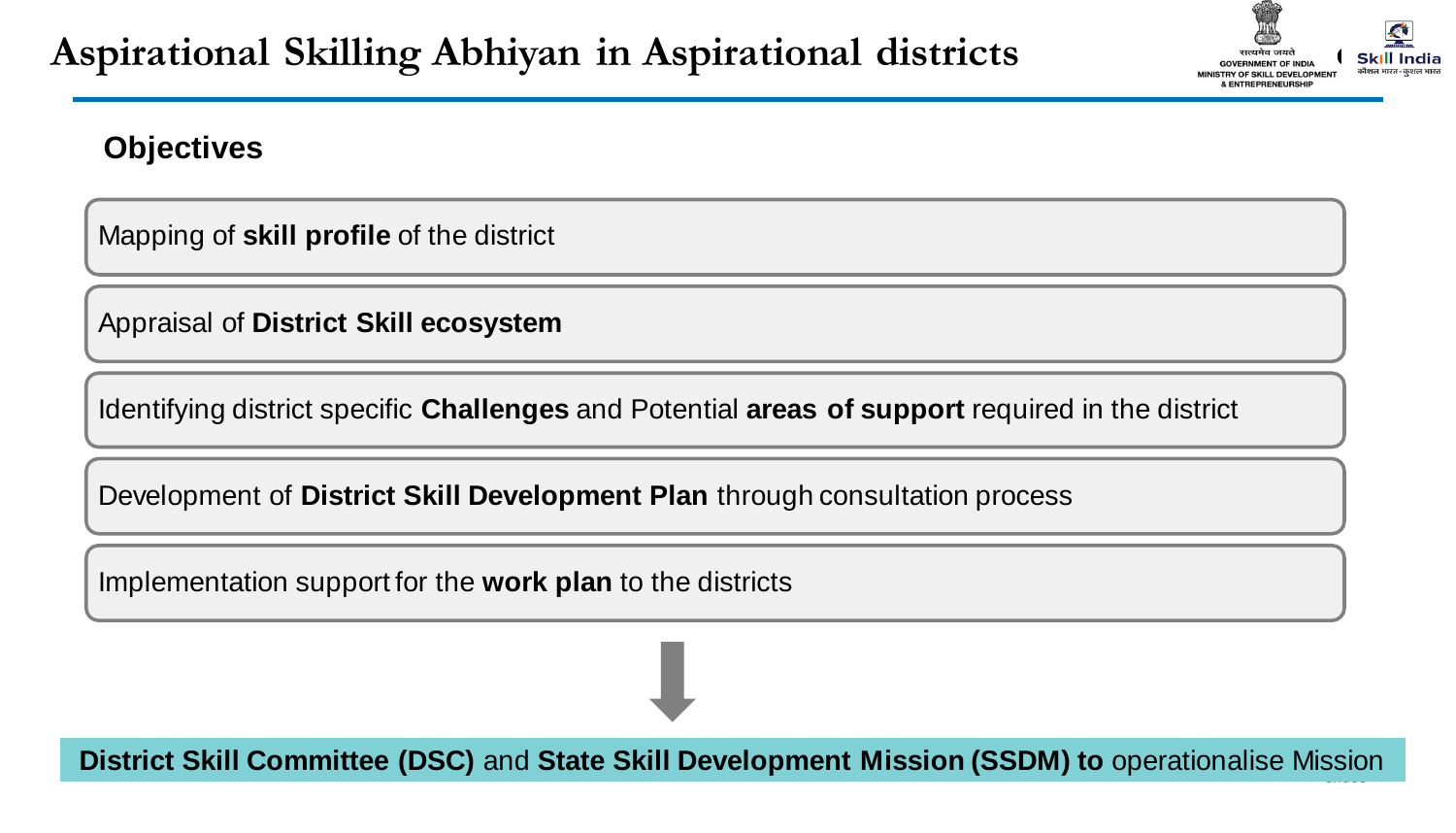

#### **Objectives**

Mapping of **skill profile** of the district

Appraisal of **District Skill ecosystem**

Identifying district specific **Challenges** and Potential **areas of support** required in the district

Development of **District Skill Development Plan** through consultation process

Implementation support for the **work plan** to the districts

**District Skill Committee (DSC)** and State Skill Development Mission (SSDM) to operationalise Mission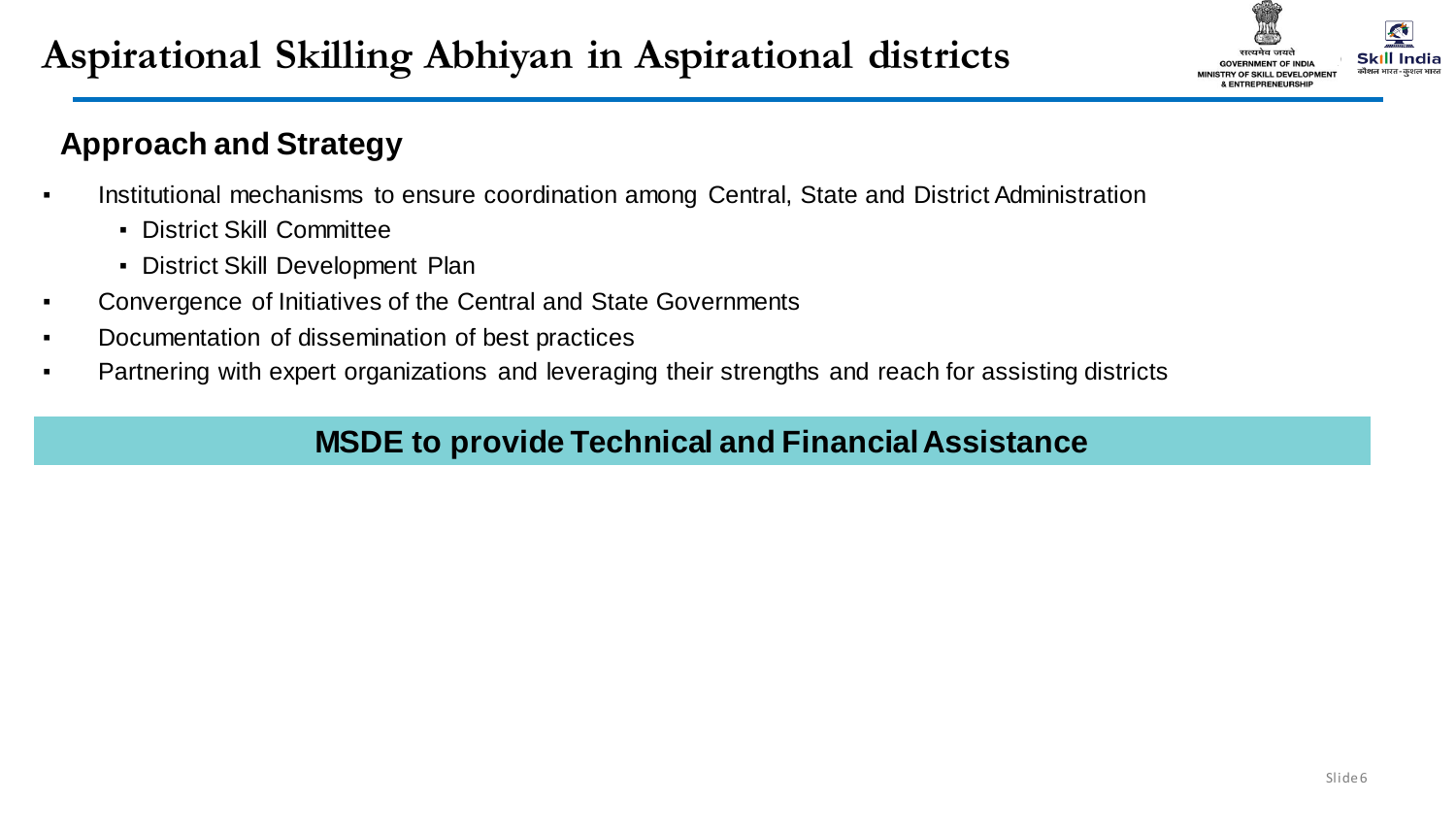

### **Approach and Strategy**

- **•** Institutional mechanisms to ensure coordination among Central, State and District Administration
	- District Skill Committee
	- District Skill Development Plan
- Convergence of Initiatives of the Central and State Governments
- Documentation of dissemination of best practices
- Partnering with expert organizations and leveraging their strengths and reach for assisting districts

### **MSDE to provide Technical and Financial Assistance**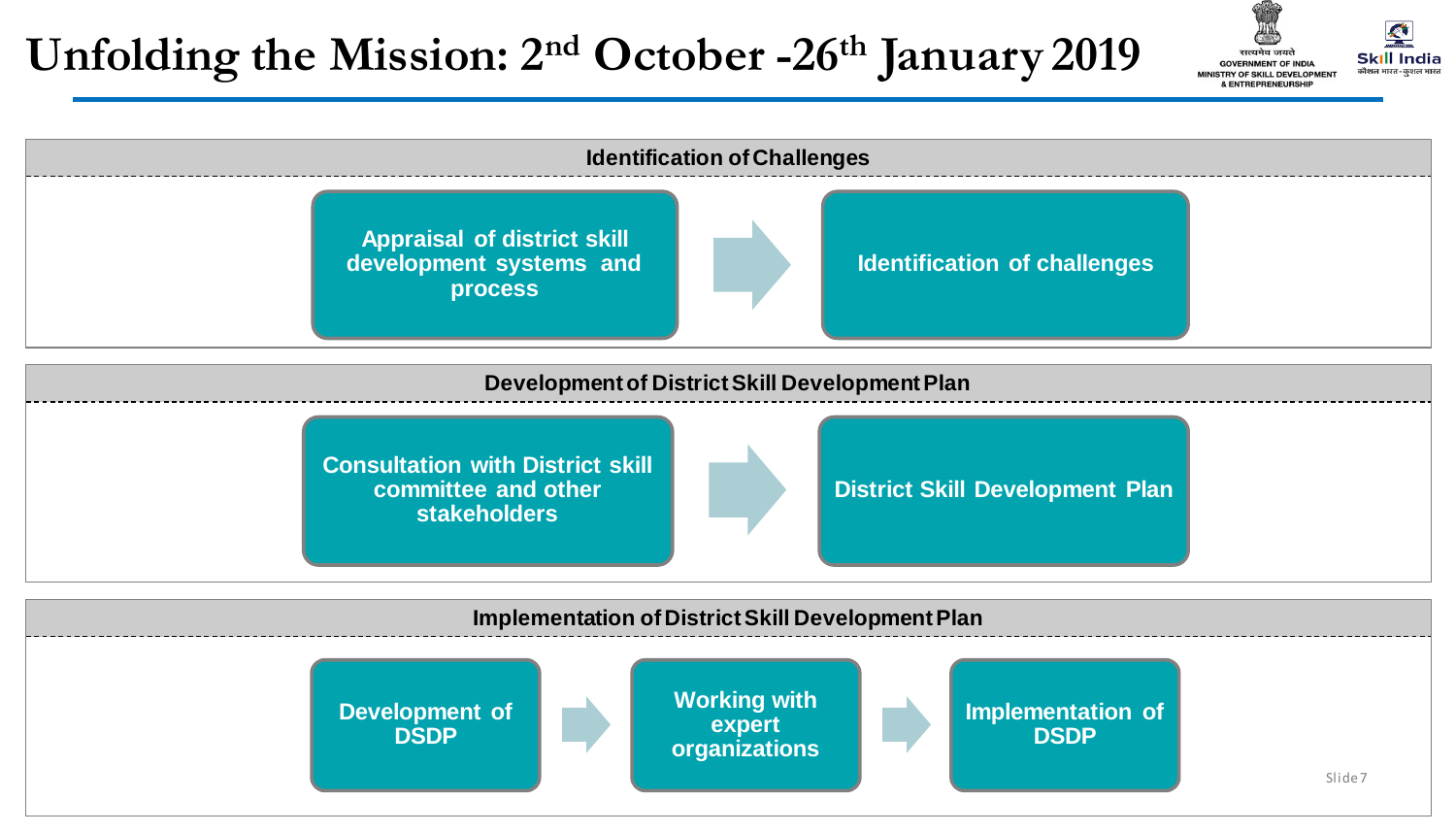## **Unfolding the Mission: 2nd October -26th January 2019**



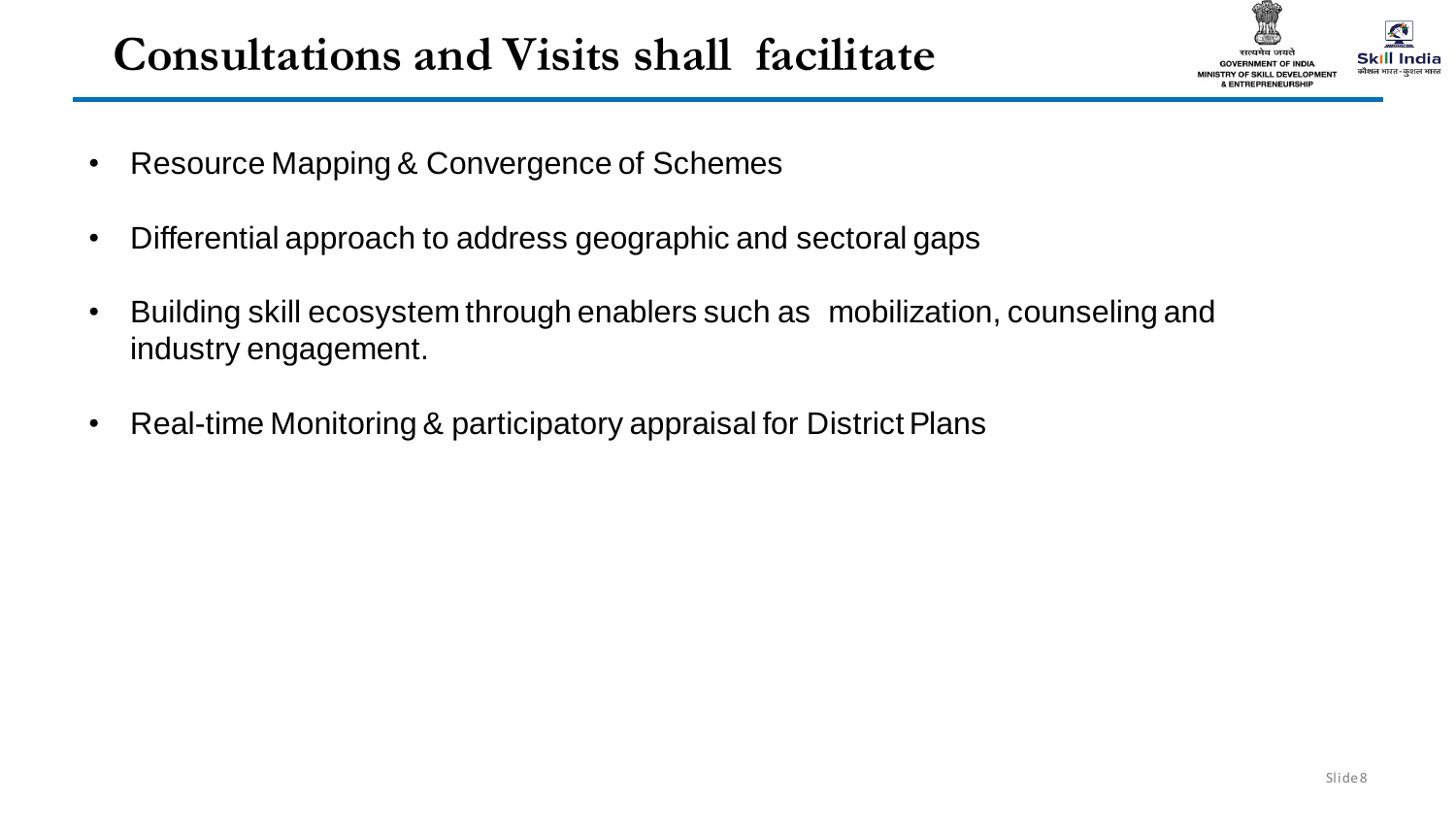# **Consultations and Visits shall facilitate**



- Resource Mapping & Convergence of Schemes
- Differential approach to address geographic and sectoral gaps
- Building skill ecosystem through enablers such as mobilization, counseling and industry engagement.
- Real-time Monitoring & participatory appraisal for District Plans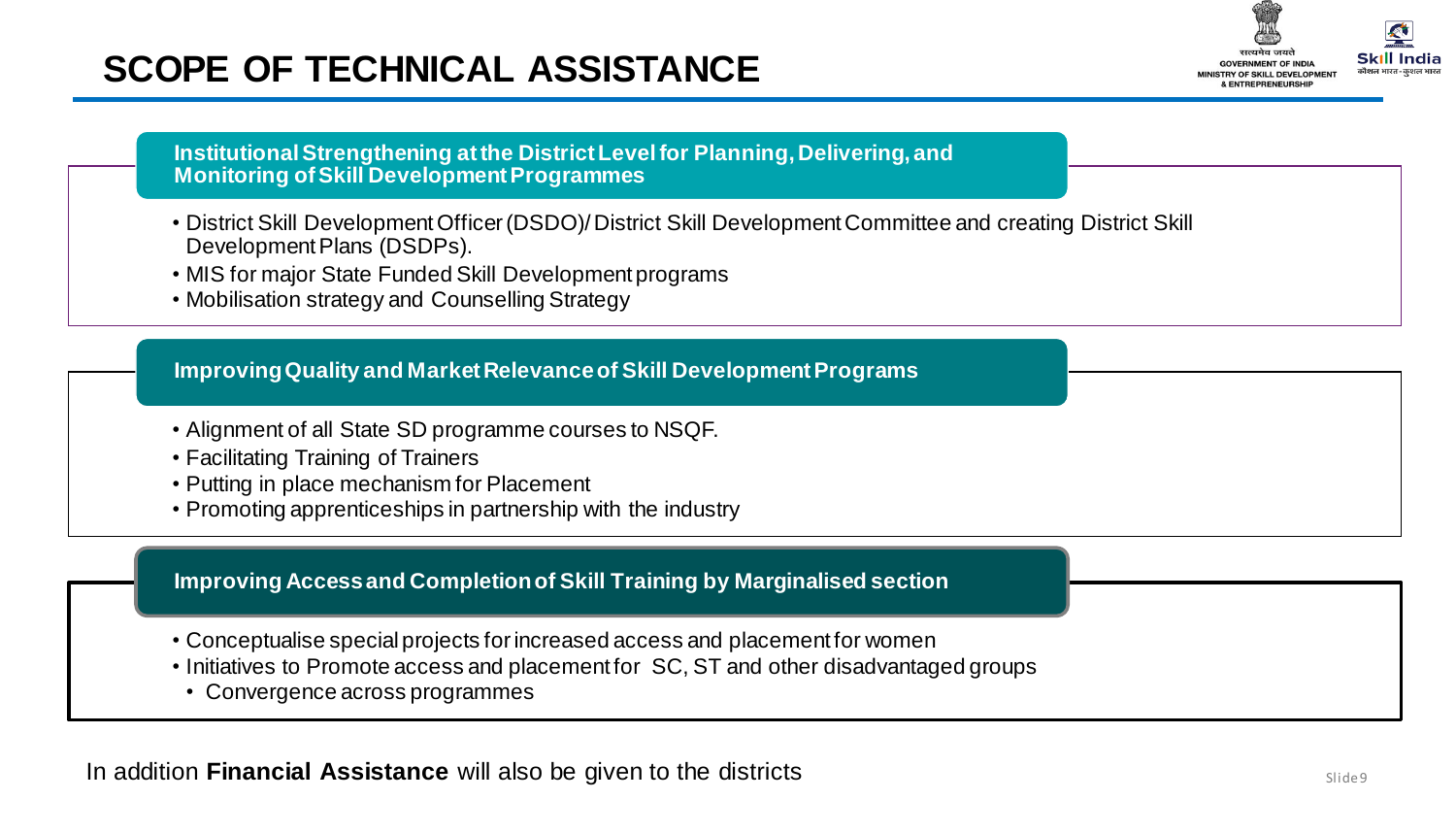## **SCOPE OF TECHNICAL ASSISTANCE**



**Institutional Strengthening at the District Level for Planning, Delivering, and Monitoring of Skill Development Programmes**

- District Skill Development Officer (DSDO)/ District Skill Development Committee and creating District Skill Development Plans (DSDPs).
- MIS for major State Funded Skill Development programs
- Mobilisation strategy and Counselling Strategy

#### **Improving Quality and Market Relevance of Skill Development Programs**

- Alignment of all State SD programme courses to NSQF.
- Facilitating Training of Trainers
- Putting in place mechanism for Placement
- Promoting apprenticeships in partnership with the industry

#### **Improving Access and Completion of Skill Training by Marginalised section**

- Conceptualise special projects for increased access and placement for women
- Initiatives to Promote access and placement for SC, ST and other disadvantaged groups
- Convergence across programmes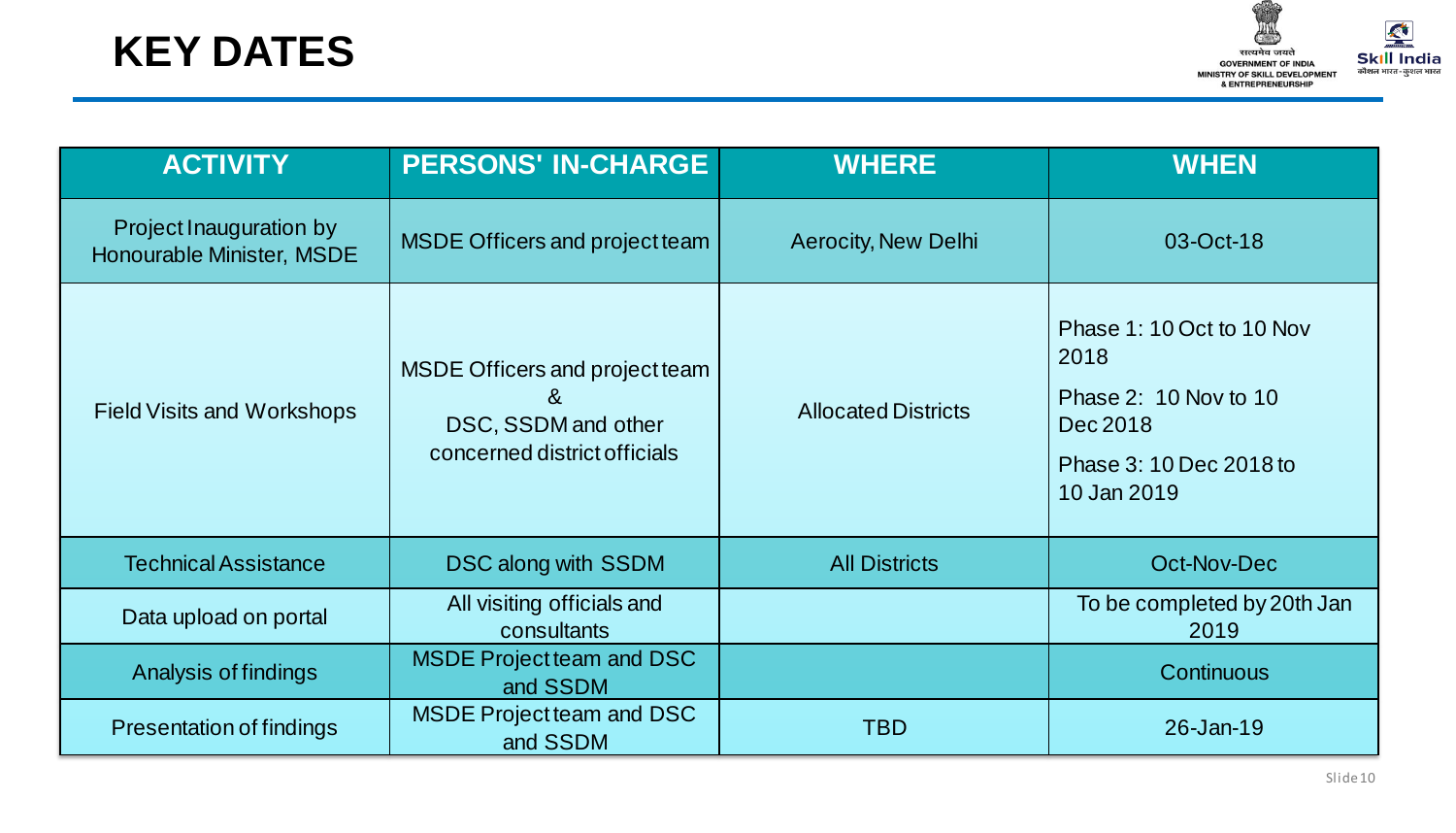

| <b>ACTIVITY</b>                                      | <b>PERSONS' IN-CHARGE</b>                                                                  | <b>WHERE</b>               | <b>WHEN</b>                                                                                                      |
|------------------------------------------------------|--------------------------------------------------------------------------------------------|----------------------------|------------------------------------------------------------------------------------------------------------------|
| Project Inauguration by<br>Honourable Minister, MSDE | <b>MSDE Officers and project team</b>                                                      | <b>Aerocity, New Delhi</b> | 03-Oct-18                                                                                                        |
| <b>Field Visits and Workshops</b>                    | MSDE Officers and project team<br>&<br>DSC, SSDM and other<br>concerned district officials | <b>Allocated Districts</b> | Phase 1: 10 Oct to 10 Nov<br>2018<br>Phase 2: 10 Nov to 10<br>Dec 2018<br>Phase 3: 10 Dec 2018 to<br>10 Jan 2019 |
| <b>Technical Assistance</b>                          | <b>DSC along with SSDM</b>                                                                 | <b>All Districts</b>       | Oct-Nov-Dec                                                                                                      |
| Data upload on portal                                | All visiting officials and<br>consultants                                                  |                            | To be completed by 20th Jan<br>2019                                                                              |
| Analysis of findings                                 | <b>MSDE Project team and DSC</b><br>and SSDM                                               |                            | Continuous                                                                                                       |
| Presentation of findings                             | <b>MSDE Project team and DSC</b><br>and SSDM                                               | TBD                        | 26-Jan-19                                                                                                        |